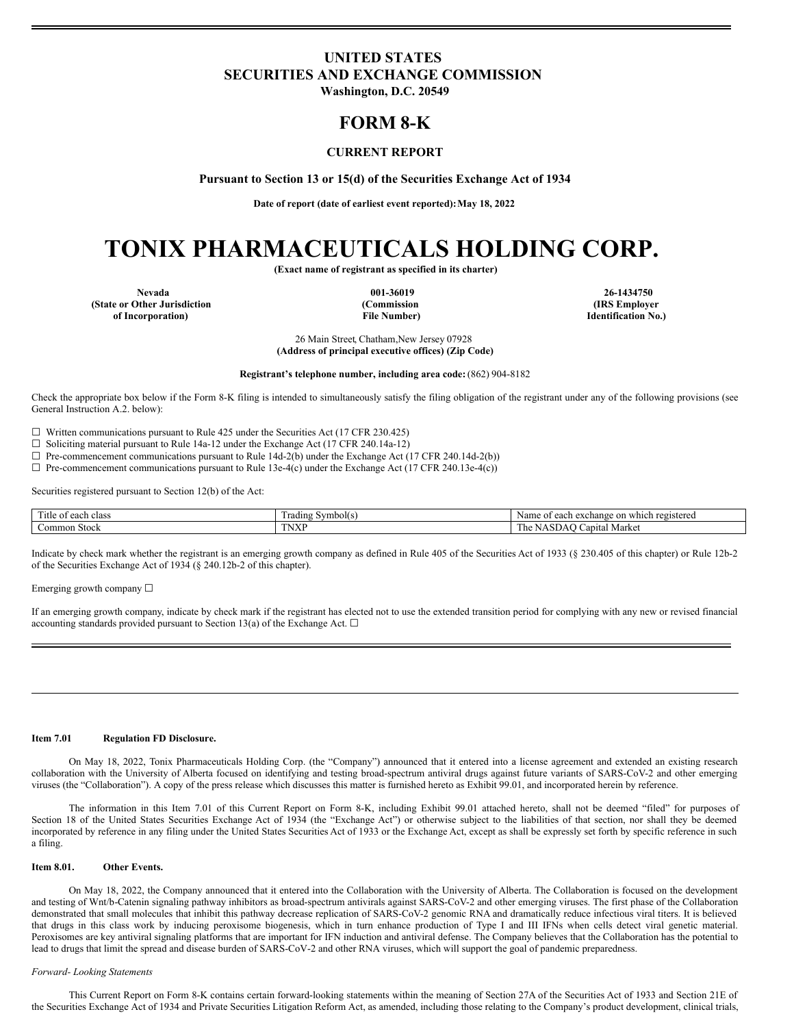# <span id="page-0-0"></span>**UNITED STATES SECURITIES AND EXCHANGE COMMISSION**

**Washington, D.C. 20549**

# **FORM 8-K**

# **CURRENT REPORT**

**Pursuant to Section 13 or 15(d) of the Securities Exchange Act of 1934**

**Date of report (date of earliest event reported):May 18, 2022**

# **TONIX PHARMACEUTICALS HOLDING CORP.**

**(Exact name of registrant as specified in its charter)**

**Nevada 001-36019 26-1434750 (State or Other Jurisdiction of Incorporation)**

**(Commission File Number)**

**(IRS Employer Identification No.)**

26 Main Street, Chatham,New Jersey 07928 **(Address of principal executive offices) (Zip Code)**

**Registrant's telephone number, including area code:** (862) 904-8182

Check the appropriate box below if the Form 8-K filing is intended to simultaneously satisfy the filing obligation of the registrant under any of the following provisions (see General Instruction A.2. below):

 $\Box$  Written communications pursuant to Rule 425 under the Securities Act (17 CFR 230.425)

☐ Soliciting material pursuant to Rule 14a-12 under the Exchange Act (17 CFR 240.14a-12)

 $\Box$  Pre-commencement communications pursuant to Rule 14d-2(b) under the Exchange Act (17 CFR 240.14d-2(b))

☐ Pre-commencement communications pursuant to Rule 13e-4(c) under the Exchange Act (17 CFR 240.13e-4(c))

Securities registered pursuant to Section 12(b) of the Act:

| $\sim$<br>l 1tle<br>each class<br>- OT | . adınc<br>Symbol(s) | $-$<br>registered<br>Name<br>on which<br>$\sim$<br>САСПАН |
|----------------------------------------|----------------------|-----------------------------------------------------------|
| 1 Stock<br>ommon.                      | TNA.                 | $\sim$<br>. Market<br>⊅apıtal<br>ı ne                     |

Indicate by check mark whether the registrant is an emerging growth company as defined in Rule 405 of the Securities Act of 1933 (§ 230.405 of this chapter) or Rule 12b-2 of the Securities Exchange Act of 1934 (§ 240.12b-2 of this chapter).

Emerging growth company  $\Box$ 

If an emerging growth company, indicate by check mark if the registrant has elected not to use the extended transition period for complying with any new or revised financial accounting standards provided pursuant to Section 13(a) of the Exchange Act.  $\Box$ 

#### **Item 7.01 Regulation FD Disclosure.**

On May 18, 2022, Tonix Pharmaceuticals Holding Corp. (the "Company") announced that it entered into a license agreement and extended an existing research collaboration with the University of Alberta focused on identifying and testing broad-spectrum antiviral drugs against future variants of SARS-CoV-2 and other emerging viruses (the "Collaboration"). A copy of the press release which discusses this matter is furnished hereto as Exhibit 99.01, and incorporated herein by reference.

The information in this Item 7.01 of this Current Report on Form 8-K, including Exhibit 99.01 attached hereto, shall not be deemed "filed" for purposes of Section 18 of the United States Securities Exchange Act of 1934 (the "Exchange Act") or otherwise subject to the liabilities of that section, nor shall they be deemed incorporated by reference in any filing under the United States Securities Act of 1933 or the Exchange Act, except as shall be expressly set forth by specific reference in such a filing.

#### **Item 8.01. Other Events.**

On May 18, 2022, the Company announced that it entered into the Collaboration with the University of Alberta. The Collaboration is focused on the development and testing of Wnt/b-Catenin signaling pathway inhibitors as broad-spectrum antivirals against SARS-CoV-2 and other emerging viruses. The first phase of the Collaboration demonstrated that small molecules that inhibit this pathway decrease replication of SARS-CoV-2 genomic RNA and dramatically reduce infectious viral titers. It is believed that drugs in this class work by inducing peroxisome biogenesis, which in turn enhance production of Type I and III IFNs when cells detect viral genetic material. Peroxisomes are key antiviral signaling platforms that are important for IFN induction and antiviral defense. The Company believes that the Collaboration has the potential to lead to drugs that limit the spread and disease burden of SARS-CoV-2 and other RNA viruses, which will support the goal of pandemic preparedness.

#### *Forward- Looking Statements*

This Current Report on Form 8-K contains certain forward-looking statements within the meaning of Section 27A of the Securities Act of 1933 and Section 21E of the Securities Exchange Act of 1934 and Private Securities Litigation Reform Act, as amended, including those relating to the Company's product development, clinical trials,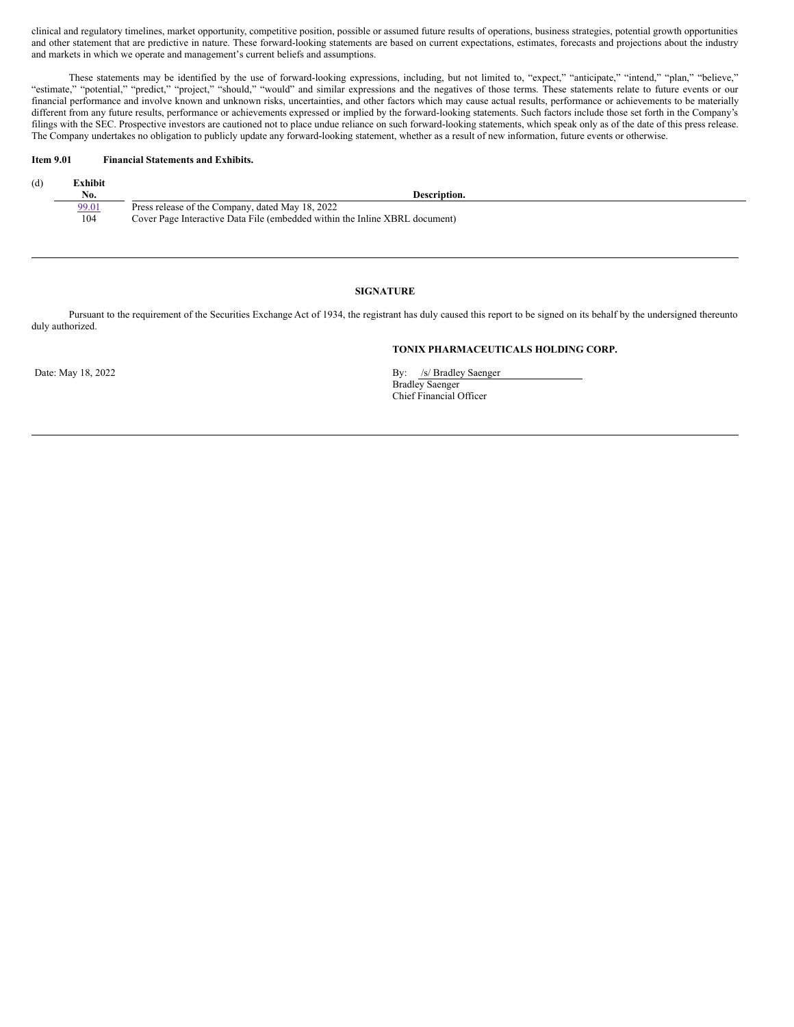clinical and regulatory timelines, market opportunity, competitive position, possible or assumed future results of operations, business strategies, potential growth opportunities and other statement that are predictive in nature. These forward-looking statements are based on current expectations, estimates, forecasts and projections about the industry and markets in which we operate and management's current beliefs and assumptions.

These statements may be identified by the use of forward-looking expressions, including, but not limited to, "expect," "anticipate," "intend," "plan," "believe," "estimate," "potential," "predict," "project," "should," "would" and similar expressions and the negatives of those terms. These statements relate to future events or our financial performance and involve known and unknown risks, uncertainties, and other factors which may cause actual results, performance or achievements to be materially financial performance and involve known and unknown r different from any future results, performance or achievements expressed or implied by the forward-looking statements. Such factors include those set forth in the Company's filings with the SEC. Prospective investors are cautioned not to place undue reliance on such forward-looking statements, which speak only as of the date of this press release. The Company undertakes no obligation to publicly update any forward-looking statement, whether as a result of new information, future events or otherwise.

## **Item 9.01 Financial Statements and Exhibits.**

| (d) | ∑xhibit |                                                                             |
|-----|---------|-----------------------------------------------------------------------------|
|     | No.     | Description.                                                                |
|     | 99.01   | Press release of the Company, dated May 18, 2022                            |
|     | 104     | Cover Page Interactive Data File (embedded within the Inline XBRL document) |

# **SIGNATURE**

Pursuant to the requirement of the Securities Exchange Act of 1934, the registrant has duly caused this report to be signed on its behalf by the undersigned thereunto duly authorized.

# **TONIX PHARMACEUTICALS HOLDING CORP.**

Date: May 18, 2022 By: /s/ Bradley Saenger Bradley Saenger Chief Financial Officer